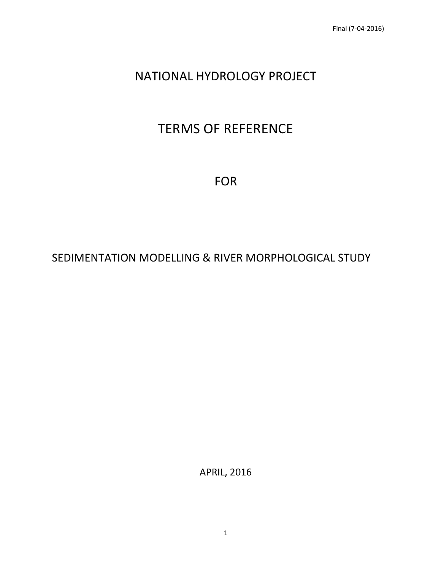# NATIONAL HYDROLOGY PROJECT

# TERMS OF REFERENCE

FOR

# SEDIMENTATION MODELLING & RIVER MORPHOLOGICAL STUDY

APRIL, 2016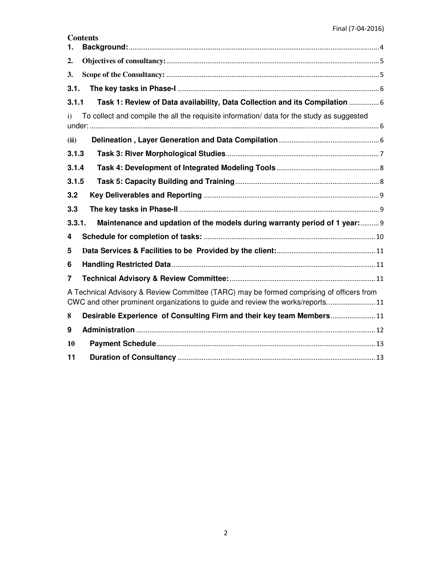| Contents |  |
|----------|--|
|          |  |

| 1.           |                                                                                                                                                                           |
|--------------|---------------------------------------------------------------------------------------------------------------------------------------------------------------------------|
| 2.           |                                                                                                                                                                           |
| 3.           |                                                                                                                                                                           |
| 3.1.         |                                                                                                                                                                           |
| 3.1.1        | Task 1: Review of Data availability, Data Collection and its Compilation  6                                                                                               |
| $\mathbf{i}$ | To collect and compile the all the requisite information/ data for the study as suggested                                                                                 |
| (ii)         |                                                                                                                                                                           |
| 3.1.3        |                                                                                                                                                                           |
| 3.1.4        |                                                                                                                                                                           |
| 3.1.5        |                                                                                                                                                                           |
| 3.2          |                                                                                                                                                                           |
| 3.3          |                                                                                                                                                                           |
| 3.3.1.       | Maintenance and updation of the models during warranty period of 1 year: 9                                                                                                |
| 4            |                                                                                                                                                                           |
| 5            |                                                                                                                                                                           |
| 6            |                                                                                                                                                                           |
| 7            |                                                                                                                                                                           |
|              | A Technical Advisory & Review Committee (TARC) may be formed comprising of officers from<br>CWC and other prominent organizations to guide and review the works/reports11 |
| 8            | Desirable Experience of Consulting Firm and their key team Members11                                                                                                      |
| 9            |                                                                                                                                                                           |
| 10           |                                                                                                                                                                           |
| 11           |                                                                                                                                                                           |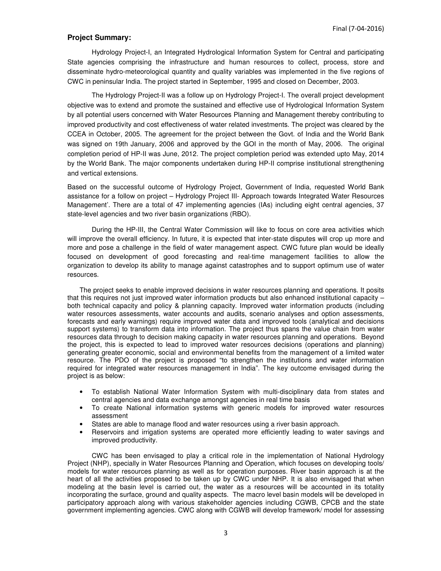#### **Project Summary:**

Hydrology Project-I, an Integrated Hydrological Information System for Central and participating State agencies comprising the infrastructure and human resources to collect, process, store and disseminate hydro-meteorological quantity and quality variables was implemented in the five regions of CWC in peninsular India. The project started in September, 1995 and closed on December, 2003.

The Hydrology Project-II was a follow up on Hydrology Project-I. The overall project development objective was to extend and promote the sustained and effective use of Hydrological Information System by all potential users concerned with Water Resources Planning and Management thereby contributing to improved productivity and cost effectiveness of water related investments. The project was cleared by the CCEA in October, 2005. The agreement for the project between the Govt. of India and the World Bank was signed on 19th January, 2006 and approved by the GOI in the month of May, 2006. The original completion period of HP-II was June, 2012. The project completion period was extended upto May, 2014 by the World Bank. The major components undertaken during HP-II comprise institutional strengthening and vertical extensions.

Based on the successful outcome of Hydrology Project, Government of India, requested World Bank assistance for a follow on project – Hydrology Project III- Approach towards Integrated Water Resources Management'. There are a total of 47 implementing agencies (IAs) including eight central agencies, 37 state-level agencies and two river basin organizations (RBO).

During the HP-III, the Central Water Commission will like to focus on core area activities which will improve the overall efficiency. In future, it is expected that inter-state disputes will crop up more and more and pose a challenge in the field of water management aspect. CWC future plan would be ideally focused on development of good forecasting and real-time management facilities to allow the organization to develop its ability to manage against catastrophes and to support optimum use of water resources.

The project seeks to enable improved decisions in water resources planning and operations. It posits that this requires not just improved water information products but also enhanced institutional capacity – both technical capacity and policy & planning capacity. Improved water information products (including water resources assessments, water accounts and audits, scenario analyses and option assessments, forecasts and early warnings) require improved water data and improved tools (analytical and decisions support systems) to transform data into information. The project thus spans the value chain from water resources data through to decision making capacity in water resources planning and operations. Beyond the project, this is expected to lead to improved water resources decisions (operations and planning) generating greater economic, social and environmental benefits from the management of a limited water resource. The PDO of the project is proposed "to strengthen the institutions and water information required for integrated water resources management in India". The key outcome envisaged during the project is as below:

- To establish National Water Information System with multi-disciplinary data from states and central agencies and data exchange amongst agencies in real time basis
- To create National information systems with generic models for improved water resources assessment
- States are able to manage flood and water resources using a river basin approach.
- Reservoirs and irrigation systems are operated more efficiently leading to water savings and improved productivity.

 CWC has been envisaged to play a critical role in the implementation of National Hydrology Project (NHP), specially in Water Resources Planning and Operation, which focuses on developing tools/ models for water resources planning as well as for operation purposes. River basin approach is at the heart of all the activities proposed to be taken up by CWC under NHP. It is also envisaged that when modeling at the basin level is carried out, the water as a resources will be accounted in its totality incorporating the surface, ground and quality aspects. The macro level basin models will be developed in participatory approach along with various stakeholder agencies including CGWB, CPCB and the state government implementing agencies. CWC along with CGWB will develop framework/ model for assessing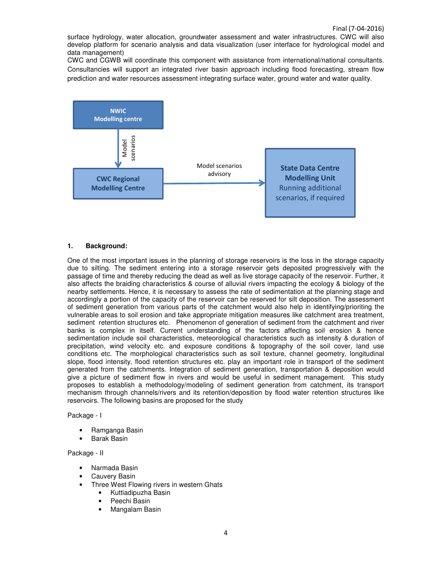surface hydrology, water allocation, groundwater assessment and water infrastructures. CWC will also develop platform for scenario analysis and data visualization (user interface for hydrological model and data management)

CWC and CGWB will coordinate this component with assistance from international/national consultants. Consultancies will support an integrated river basin approach including flood forecasting, stream flow prediction and water resources assessment integrating surface water, ground water and water quality.



#### **1. Background:**

One of the most important issues in the planning of storage reservoirs is the loss in the storage capacity due to silting. The sediment entering into a storage reservoir gets deposited progressively with the passage of time and thereby reducing the dead as well as live storage capacity of the reservoir. Further, it also affects the braiding characteristics & course of alluvial rivers impacting the ecology & biology of the nearby settlements. Hence, it is necessary to assess the rate of sedimentation at the planning stage and accordingly a portion of the capacity of the reservoir can be reserved for silt deposition. The assessment of sediment generation from various parts of the catchment would also help in identifying/prioriting the vulnerable areas to soil erosion and take appropriate mitigation measures like catchment area treatment, sediment retention structures etc. Phenomenon of generation of sediment from the catchment and river banks is complex in itself. Current understanding of the factors affecting soil erosion & hence sedimentation include soil characteristics, meteorological characteristics such as intensity & duration of precipitation, wind velocity etc. and exposure conditions & topography of the soil cover, land use conditions etc. The morphological characteristics such as soil texture, channel geometry, longitudinal slope, flood intensity, flood retention structures etc. play an important role in transport of the sediment generated from the catchments. Integration of sediment generation, transportation & deposition would give a picture of sediment flow in rivers and would be useful in sediment management. This study proposes to establish a methodology/modeling of sediment generation from catchment, its transport mechanism through channels/rivers and its retention/deposition by flood water retention structures like reservoirs. The following basins are proposed for the study

Package - I

- Ramganga Basin
- Barak Basin

Package - II

- Narmada Basin
- Cauvery Basin
- Three West Flowing rivers in western Ghats
	- Kuttiadipuzha Basin
	- Peechi Basin
	- Mangalam Basin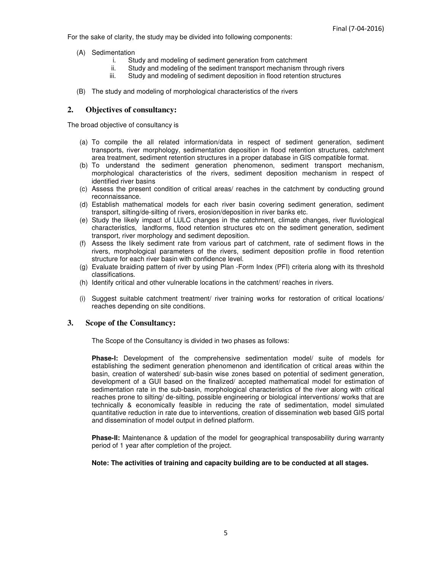For the sake of clarity, the study may be divided into following components:

- (A) Sedimentation
	- i. Study and modeling of sediment generation from catchment
	- ii. Study and modeling of the sediment transport mechanism through rivers
	- iii. Study and modeling of sediment deposition in flood retention structures
- (B) The study and modeling of morphological characteristics of the rivers

#### **2. Objectives of consultancy:**

The broad objective of consultancy is

- (a) To compile the all related information/data in respect of sediment generation, sediment transports, river morphology, sedimentation deposition in flood retention structures, catchment area treatment, sediment retention structures in a proper database in GIS compatible format.
- (b) To understand the sediment generation phenomenon, sediment transport mechanism, morphological characteristics of the rivers, sediment deposition mechanism in respect of identified river basins
- (c) Assess the present condition of critical areas/ reaches in the catchment by conducting ground reconnaissance.
- (d) Establish mathematical models for each river basin covering sediment generation, sediment transport, silting/de-silting of rivers, erosion/deposition in river banks etc.
- (e) Study the likely impact of LULC changes in the catchment, climate changes, river fluviological characteristics, landforms, flood retention structures etc on the sediment generation, sediment transport, river morphology and sediment deposition.
- (f) Assess the likely sediment rate from various part of catchment, rate of sediment flows in the rivers, morphological parameters of the rivers, sediment deposition profile in flood retention structure for each river basin with confidence level.
- (g) Evaluate braiding pattern of river by using Plan -Form Index (PFI) criteria along with its threshold classifications.
- (h) Identify critical and other vulnerable locations in the catchment/ reaches in rivers.
- (i) Suggest suitable catchment treatment/ river training works for restoration of critical locations/ reaches depending on site conditions.

#### **3. Scope of the Consultancy:**

The Scope of the Consultancy is divided in two phases as follows:

**Phase-I:** Development of the comprehensive sedimentation model/ suite of models for establishing the sediment generation phenomenon and identification of critical areas within the basin, creation of watershed/ sub-basin wise zones based on potential of sediment generation, development of a GUI based on the finalized/ accepted mathematical model for estimation of sedimentation rate in the sub-basin, morphological characteristics of the river along with critical reaches prone to silting/ de-silting, possible engineering or biological interventions/ works that are technically & economically feasible in reducing the rate of sedimentation, model simulated quantitative reduction in rate due to interventions, creation of dissemination web based GIS portal and dissemination of model output in defined platform.

**Phase-II:** Maintenance & updation of the model for geographical transposability during warranty period of 1 year after completion of the project.

#### **Note: The activities of training and capacity building are to be conducted at all stages.**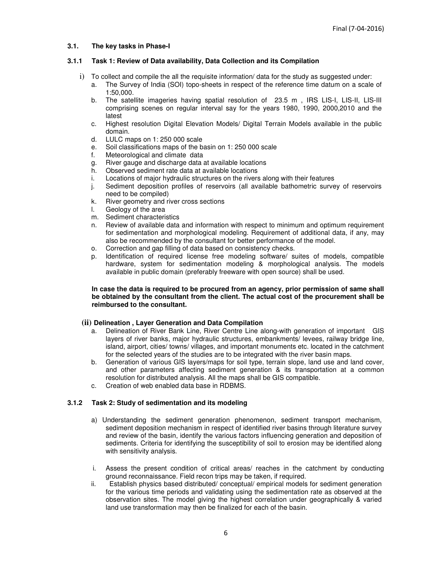#### **3.1. The key tasks in Phase-I**

#### **3.1.1 Task 1: Review of Data availability, Data Collection and its Compilation**

- i) To collect and compile the all the requisite information/ data for the study as suggested under:
	- a. The Survey of India (SOI) topo-sheets in respect of the reference time datum on a scale of 1:50,000.
	- b. The satellite imageries having spatial resolution of 23.5 m, IRS LIS-I, LIS-II, LIS-III comprising scenes on regular interval say for the years 1980, 1990, 2000,2010 and the latest
	- c. Highest resolution Digital Elevation Models/ Digital Terrain Models available in the public domain.
	- d. LULC maps on 1: 250 000 scale
	- e. Soil classifications maps of the basin on 1: 250 000 scale
	- f. Meteorological and climate data
	- g. River gauge and discharge data at available locations
	- h. Observed sediment rate data at available locations
	- i. Locations of major hydraulic structures on the rivers along with their features
	- j. Sediment deposition profiles of reservoirs (all available bathometric survey of reservoirs need to be compiled)
	- k. River geometry and river cross sections
	- l. Geology of the area
	- m. Sediment characteristics
	- n. Review of available data and information with respect to minimum and optimum requirement for sedimentation and morphological modeling. Requirement of additional data, if any, may also be recommended by the consultant for better performance of the model.
	- o. Correction and gap filling of data based on consistency checks.
	- p. Identification of required license free modeling software/ suites of models, compatible hardware, system for sedimentation modeling & morphological analysis. The models available in public domain (preferably freeware with open source) shall be used.

#### **In case the data is required to be procured from an agency, prior permission of same shall be obtained by the consultant from the client. The actual cost of the procurement shall be reimbursed to the consultant.**

#### **(ii) Delineation , Layer Generation and Data Compilation**

- a. Delineation of River Bank Line, River Centre Line along-with generation of important GIS layers of river banks, major hydraulic structures, embankments/ levees, railway bridge line, island, airport, cities/ towns/ villages, and important monuments etc. located in the catchment for the selected years of the studies are to be integrated with the river basin maps.
- b. Generation of various GIS layers/maps for soil type, terrain slope, land use and land cover, and other parameters affecting sediment generation & its transportation at a common resolution for distributed analysis. All the maps shall be GIS compatible.
- c. Creation of web enabled data base in RDBMS.

#### **3.1.2 Task 2: Study of sedimentation and its modeling**

- a) Understanding the sediment generation phenomenon, sediment transport mechanism, sediment deposition mechanism in respect of identified river basins through literature survey and review of the basin, identify the various factors influencing generation and deposition of sediments. Criteria for identifying the susceptibility of soil to erosion may be identified along with sensitivity analysis.
- i. Assess the present condition of critical areas/ reaches in the catchment by conducting ground reconnaissance. Field recon trips may be taken, if required.
- ii. Establish physics based distributed/ conceptual/ empirical models for sediment generation for the various time periods and validating using the sedimentation rate as observed at the observation sites. The model giving the highest correlation under geographically & varied land use transformation may then be finalized for each of the basin.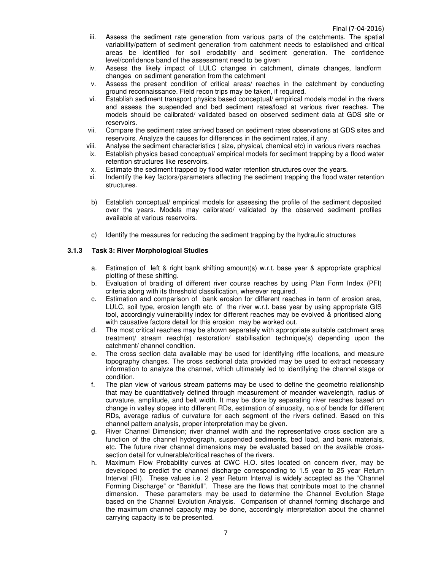- iii. Assess the sediment rate generation from various parts of the catchments. The spatial variability/pattern of sediment generation from catchment needs to established and critical areas be identified for soil erodablity and sediment generation. The confidence level/confidence band of the assessment need to be given
- iv. Assess the likely impact of LULC changes in catchment, climate changes, landform changes on sediment generation from the catchment
- v. Assess the present condition of critical areas/ reaches in the catchment by conducting ground reconnaissance. Field recon trips may be taken, if required.
- vi. Establish sediment transport physics based conceptual/ empirical models model in the rivers and assess the suspended and bed sediment rates/load at various river reaches. The models should be calibrated/ validated based on observed sediment data at GDS site or reservoirs.
- vii. Compare the sediment rates arrived based on sediment rates observations at GDS sites and reservoirs. Analyze the causes for differences in the sediment rates, if any.
- viii. Analyse the sediment characteristics ( size, physical, chemical etc) in various rivers reaches
- ix. Establish physics based conceptual/ empirical models for sediment trapping by a flood water retention structures like reservoirs.
- x. Estimate the sediment trapped by flood water retention structures over the years.
- xi. Indentify the key factors/parameters affecting the sediment trapping the flood water retention structures.
- b) Establish conceptual/ empirical models for assessing the profile of the sediment deposited over the years. Models may calibrated/ validated by the observed sediment profiles available at various reservoirs.
- c) Identify the measures for reducing the sediment trapping by the hydraulic structures

#### **3.1.3 Task 3: River Morphological Studies**

- a. Estimation of left & right bank shifting amount(s) w.r.t. base year & appropriate graphical plotting of these shifting.
- b. Evaluation of braiding of different river course reaches by using Plan Form Index (PFI) criteria along with its threshold classification, wherever required.
- c. Estimation and comparison of bank erosion for different reaches in term of erosion area, LULC, soil type, erosion length etc. of the river w.r.t. base year by using appropriate GIS tool, accordingly vulnerability index for different reaches may be evolved & prioritised along with causative factors detail for this erosion may be worked out.
- d. The most critical reaches may be shown separately with appropriate suitable catchment area treatment/ stream reach(s) restoration/ stabilisation technique(s) depending upon the catchment/ channel condition.
- e. The cross section data available may be used for identifying riffle locations, and measure topography changes. The cross sectional data provided may be used to extract necessary information to analyze the channel, which ultimately led to identifying the channel stage or condition.
- f. The plan view of various stream patterns may be used to define the geometric relationship that may be quantitatively defined through measurement of meander wavelength, radius of curvature, amplitude, and belt width. It may be done by separating river reaches based on change in valley slopes into different RDs, estimation of sinuosity, no.s of bends for different RDs, average radius of curvature for each segment of the rivers defined. Based on this channel pattern analysis, proper interpretation may be given.
- g. River Channel Dimension; river channel width and the representative cross section are a function of the channel hydrograph, suspended sediments, bed load, and bank materials, etc. The future river channel dimensions may be evaluated based on the available crosssection detail for vulnerable/critical reaches of the rivers.
- h. Maximum Flow Probability curves at CWC H.O. sites located on concern river, may be developed to predict the channel discharge corresponding to 1.5 year to 25 year Return Interval (RI). These values i.e. 2 year Return Interval is widely accepted as the "Channel Forming Discharge" or "Bankfull". These are the flows that contribute most to the channel dimension. These parameters may be used to determine the Channel Evolution Stage based on the Channel Evolution Analysis. Comparison of channel forming discharge and the maximum channel capacity may be done, accordingly interpretation about the channel carrying capacity is to be presented.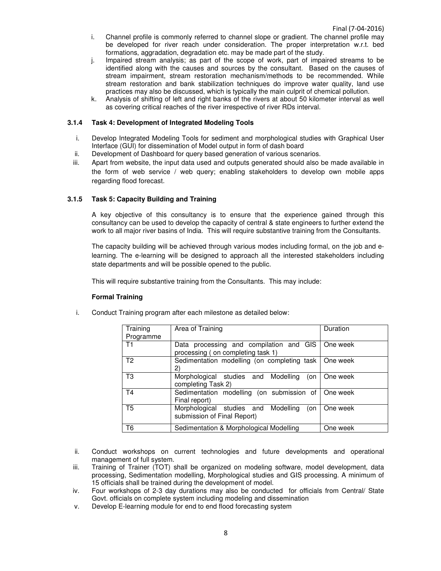- i. Channel profile is commonly referred to channel slope or gradient. The channel profile may be developed for river reach under consideration. The proper interpretation w.r.t. bed formations, aggradation, degradation etc. may be made part of the study.
- j. Impaired stream analysis; as part of the scope of work, part of impaired streams to be identified along with the causes and sources by the consultant. Based on the causes of stream impairment, stream restoration mechanism/methods to be recommended. While stream restoration and bank stabilization techniques do improve water quality, land use practices may also be discussed, which is typically the main culprit of chemical pollution.
- k. Analysis of shifting of left and right banks of the rivers at about 50 kilometer interval as well as covering critical reaches of the river irrespective of river RDs interval.

#### **3.1.4 Task 4: Development of Integrated Modeling Tools**

- i. Develop Integrated Modeling Tools for sediment and morphological studies with Graphical User Interface (GUI) for dissemination of Model output in form of dash board
- ii. Development of Dashboard for query based generation of various scenarios.
- iii. Apart from website, the input data used and outputs generated should also be made available in the form of web service / web query; enabling stakeholders to develop own mobile apps regarding flood forecast.

#### **3.1.5 Task 5: Capacity Building and Training**

A key objective of this consultancy is to ensure that the experience gained through this consultancy can be used to develop the capacity of central & state engineers to further extend the work to all major river basins of India. This will require substantive training from the Consultants.

The capacity building will be achieved through various modes including formal, on the job and elearning. The e-learning will be designed to approach all the interested stakeholders including state departments and will be possible opened to the public.

This will require substantive training from the Consultants. This may include:

#### **Formal Training**

i. Conduct Training program after each milestone as detailed below:

| Training<br>Programme | Area of Training                                                             | Duration             |
|-----------------------|------------------------------------------------------------------------------|----------------------|
| T1                    | Data processing and compilation and GIS<br>processing (on completing task 1) | l One week           |
| T <sub>2</sub>        | Sedimentation modelling (on completing task   One week<br>2)                 |                      |
| T <sub>3</sub>        | Morphological studies and Modelling<br>completing Task 2)                    | (on   One week       |
| T <sub>4</sub>        | Sedimentation modelling (on submission of One week<br>Final report)          |                      |
| T <sub>5</sub>        | Morphological studies and Modelling<br>submission of Final Report)           | (on $\vert$ One week |
| T <sub>6</sub>        | Sedimentation & Morphological Modelling                                      | One week             |

- ii. Conduct workshops on current technologies and future developments and operational management of full system.
- iii. Training of Trainer (TOT) shall be organized on modeling software, model development, data processing, Sedimentation modelling, Morphological studies and GIS processing. A minimum of 15 officials shall be trained during the development of model.
- iv. Four workshops of 2-3 day durations may also be conducted for officials from Central/ State Govt. officials on complete system including modeling and dissemination
- v. Develop E-learning module for end to end flood forecasting system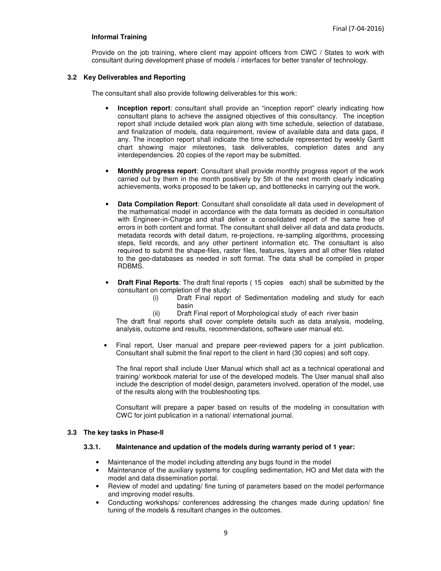#### **Informal Training**

Provide on the job training, where client may appoint officers from CWC / States to work with consultant during development phase of models / interfaces for better transfer of technology.

#### **3.2 Key Deliverables and Reporting**

The consultant shall also provide following deliverables for this work:

- **Inception report:** consultant shall provide an "inception report" clearly indicating how consultant plans to achieve the assigned objectives of this consultancy. The inception report shall include detailed work plan along with time schedule, selection of database, and finalization of models, data requirement, review of available data and data gaps, if any. The inception report shall indicate the time schedule represented by weekly Gantt chart showing major milestones, task deliverables, completion dates and any interdependencies. 20 copies of the report may be submitted.
- **Monthly progress report**: Consultant shall provide monthly progress report of the work carried out by them in the month positively by 5th of the next month clearly indicating achievements, works proposed to be taken up, and bottlenecks in carrying out the work.
- **Data Compilation Report**: Consultant shall consolidate all data used in development of the mathematical model in accordance with the data formats as decided in consultation with Engineer-in-Charge and shall deliver a consolidated report of the same free of errors in both content and format. The consultant shall deliver all data and data products, metadata records with detail datum, re-projections, re-sampling algorithms, processing steps, field records, and any other pertinent information etc. The consultant is also required to submit the shape-files, raster files, features, layers and all other files related to the geo-databases as needed in soft format. The data shall be compiled in proper RDBMS.
- **Draft Final Reports**: The draft final reports ( 15 copies each) shall be submitted by the consultant on completion of the study:
	- (i) Draft Final report of Sedimentation modeling and study for each basin
	- (ii) Draft Final report of Morphological study of each river basin

The draft final reports shall cover complete details such as data analysis, modeling, analysis, outcome and results, recommendations, software user manual etc.

Final report, User manual and prepare peer-reviewed papers for a joint publication. Consultant shall submit the final report to the client in hard (30 copies) and soft copy.

The final report shall include User Manual which shall act as a technical operational and training/ workbook material for use of the developed models. The User manual shall also include the description of model design, parameters involved, operation of the model, use of the results along with the troubleshooting tips.

Consultant will prepare a paper based on results of the modeling in consultation with CWC for joint publication in a national/ international journal.

#### **3.3 The key tasks in Phase-II**

#### **3.3.1. Maintenance and updation of the models during warranty period of 1 year:**

- Maintenance of the model including attending any bugs found in the model
- Maintenance of the auxiliary systems for coupling sedimentation, HO and Met data with the model and data dissemination portal.
- Review of model and updating/ fine tuning of parameters based on the model performance and improving model results.
- Conducting workshops/ conferences addressing the changes made during updation/ fine tuning of the models & resultant changes in the outcomes.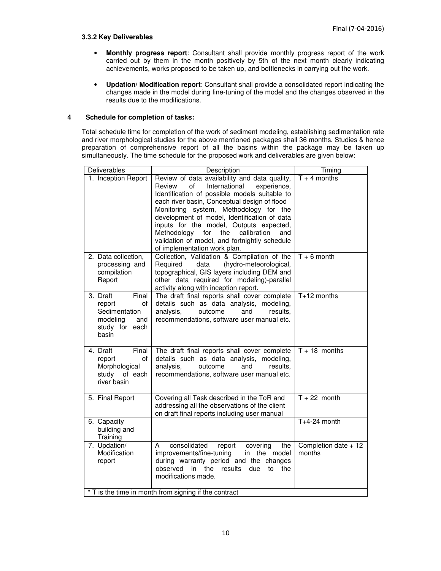# **3.3.2 Key Deliverables**

- **Monthly progress report**: Consultant shall provide monthly progress report of the work carried out by them in the month positively by 5th of the next month clearly indicating achievements, works proposed to be taken up, and bottlenecks in carrying out the work.
- **Updation/ Modification report**: Consultant shall provide a consolidated report indicating the changes made in the model during fine-tuning of the model and the changes observed in the results due to the modifications.

#### **4 Schedule for completion of tasks:**

Total schedule time for completion of the work of sediment modeling, establishing sedimentation rate and river morphological studies for the above mentioned packages shall 36 months. Studies & hence preparation of comprehensive report of all the basins within the package may be taken up simultaneously. The time schedule for the proposed work and deliverables are given below:

| Deliverables                                                                                     | Description                                                                                                                                                                                                                                                                                                                                                                                                                                                             | Timing                          |  |
|--------------------------------------------------------------------------------------------------|-------------------------------------------------------------------------------------------------------------------------------------------------------------------------------------------------------------------------------------------------------------------------------------------------------------------------------------------------------------------------------------------------------------------------------------------------------------------------|---------------------------------|--|
| 1. Inception Report                                                                              | Review of data availability and data quality,<br>of<br>International<br>Review<br>experience,<br>Identification of possible models suitable to<br>each river basin, Conceptual design of flood<br>Monitoring system, Methodology for the<br>development of model, Identification of data<br>inputs for the model, Outputs expected,<br>calibration<br>Methodology<br>for<br>the<br>and<br>validation of model, and fortnightly schedule<br>of implementation work plan. | $T + 4$ months                  |  |
| 2. Data collection,<br>processing and<br>compilation<br>Report                                   | Collection, Validation & Compilation of the<br>(hydro-meteorological,<br>Required<br>data<br>topographical, GIS layers including DEM and<br>other data required for modeling)-parallel<br>activity along with inception report.                                                                                                                                                                                                                                         | $T + 6$ month                   |  |
| 3. Draft<br>Final<br>report<br>οf<br>Sedimentation<br>modeling<br>and<br>study for each<br>basin | The draft final reports shall cover complete<br>details such as data analysis, modeling,<br>analysis,<br>outcome<br>results,<br>and<br>recommendations, software user manual etc.                                                                                                                                                                                                                                                                                       | $T+12$ months                   |  |
| 4. Draft<br>Final<br>report<br>οf<br>Morphological<br>study<br>of each<br>river basin            | The draft final reports shall cover complete<br>details such as data analysis, modeling,<br>analysis,<br>outcome<br>and<br>results.<br>recommendations, software user manual etc.                                                                                                                                                                                                                                                                                       | $T + 18$ months                 |  |
| 5. Final Report                                                                                  | Covering all Task described in the ToR and<br>addressing all the observations of the client<br>on draft final reports including user manual                                                                                                                                                                                                                                                                                                                             | $\overline{T + 22}$ month       |  |
| 6. Capacity<br>building and<br>Training                                                          |                                                                                                                                                                                                                                                                                                                                                                                                                                                                         | $T+4-24$ month                  |  |
| 7. Updation/<br>Modification<br>report                                                           | consolidated<br>report<br>covering<br>the<br>A<br>improvements/fine-tuning<br>in the model<br>during warranty period and the changes<br>observed in<br>the<br>results<br>due<br>to<br>the<br>modifications made.                                                                                                                                                                                                                                                        | Completion date $+12$<br>months |  |
| * T is the time in month from signing if the contract                                            |                                                                                                                                                                                                                                                                                                                                                                                                                                                                         |                                 |  |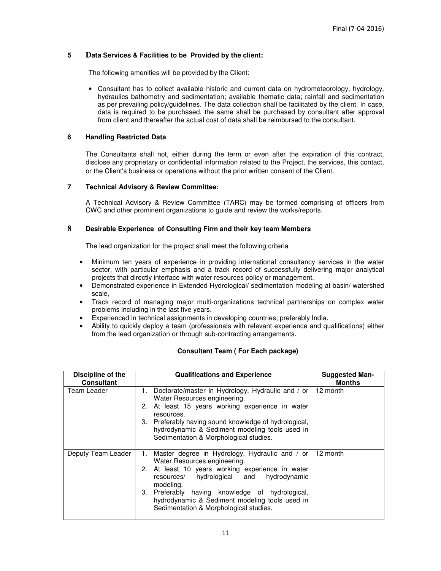## **5 Data Services & Facilities to be Provided by the client:**

The following amenities will be provided by the Client:

• Consultant has to collect available historic and current data on hydrometeorology, hydrology, hydraulics bathometry and sedimentation; available thematic data; rainfall and sedimentation as per prevailing policy/guidelines. The data collection shall be facilitated by the client. In case, data is required to be purchased, the same shall be purchased by consultant after approval from client and thereafter the actual cost of data shall be reimbursed to the consultant.

#### **6 Handling Restricted Data**

The Consultants shall not, either during the term or even after the expiration of this contract, disclose any proprietary or confidential information related to the Project, the services, this contact, or the Client's business or operations without the prior written consent of the Client.

#### **7 Technical Advisory & Review Committee:**

A Technical Advisory & Review Committee (TARC) may be formed comprising of officers from CWC and other prominent organizations to guide and review the works/reports.

#### **8 Desirable Experience of Consulting Firm and their key team Members**

The lead organization for the project shall meet the following criteria

- Minimum ten years of experience in providing international consultancy services in the water sector, with particular emphasis and a track record of successfully delivering major analytical projects that directly interface with water resources policy or management.
- Demonstrated experience in Extended Hydrological/ sedimentation modeling at basin/ watershed scale,
- Track record of managing major multi-organizations technical partnerships on complex water problems including in the last five years.
- Experienced in technical assignments in developing countries; preferably India.
- Ability to quickly deploy a team (professionals with relevant experience and qualifications) either from the lead organization or through sub-contracting arrangements.

#### **Consultant Team ( For Each package)**

| Discipline of the<br><b>Consultant</b> | <b>Qualifications and Experience</b>                                                                                                                                                                                                                                                                                                             | <b>Suggested Man-</b><br><b>Months</b> |
|----------------------------------------|--------------------------------------------------------------------------------------------------------------------------------------------------------------------------------------------------------------------------------------------------------------------------------------------------------------------------------------------------|----------------------------------------|
| Team Leader                            | 1. Doctorate/master in Hydrology, Hydraulic and / or<br>Water Resources engineering.<br>2. At least 15 years working experience in water<br>resources.<br>3. Preferably having sound knowledge of hydrological,<br>hydrodynamic & Sediment modeling tools used in<br>Sedimentation & Morphological studies.                                      | 12 month                               |
| Deputy Team Leader                     | Master degree in Hydrology, Hydraulic and / or<br>1.<br>Water Resources engineering.<br>2. At least 10 years working experience in water<br>resources/ hydrological and hydrodynamic<br>modeling.<br>3. Preferably having knowledge of hydrological,<br>hydrodynamic & Sediment modeling tools used in<br>Sedimentation & Morphological studies. | 12 month                               |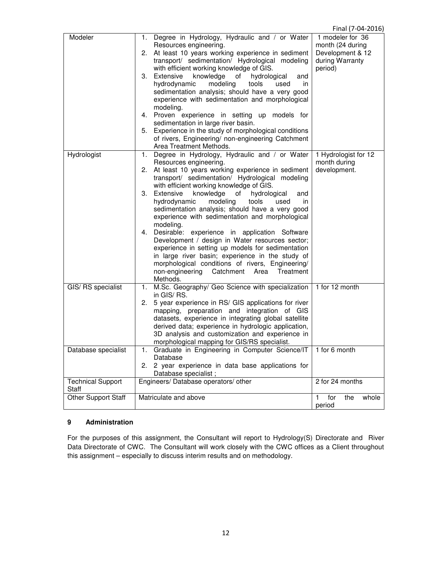|                              |                                                                                                                                                    | Final (7-04-2016)                    |
|------------------------------|----------------------------------------------------------------------------------------------------------------------------------------------------|--------------------------------------|
| Modeler                      | Degree in Hydrology, Hydraulic and / or Water<br>1.<br>Resources engineering.                                                                      | 1 modeler for 36<br>month (24 during |
|                              | 2. At least 10 years working experience in sediment<br>transport/ sedimentation/ Hydrological modeling                                             | Development & 12<br>during Warranty  |
|                              | with efficient working knowledge of GIS.<br>3. Extensive<br>knowledge<br>hydrological<br>of<br>and                                                 | period)                              |
|                              | hydrodynamic<br>modeling<br>tools<br>used<br>in.                                                                                                   |                                      |
|                              | sedimentation analysis; should have a very good<br>experience with sedimentation and morphological<br>modeling.                                    |                                      |
|                              | 4. Proven experience in setting up models for                                                                                                      |                                      |
|                              | sedimentation in large river basin.<br>5. Experience in the study of morphological conditions                                                      |                                      |
|                              | of rivers, Engineering/ non-engineering Catchment<br>Area Treatment Methods.                                                                       |                                      |
| Hydrologist                  | Degree in Hydrology, Hydraulic and / or Water<br>1.<br>Resources engineering.                                                                      | 1 Hydrologist for 12<br>month during |
|                              | 2. At least 10 years working experience in sediment<br>transport/ sedimentation/ Hydrological modeling<br>with efficient working knowledge of GIS. | development.                         |
|                              | Extensive<br>3.<br>knowledge<br>of<br>hydrological<br>and<br>hydrodynamic<br>tools<br>modeling<br>used<br>in.                                      |                                      |
|                              | sedimentation analysis; should have a very good<br>experience with sedimentation and morphological<br>modeling.                                    |                                      |
|                              | 4. Desirable: experience in application Software<br>Development / design in Water resources sector;                                                |                                      |
|                              | experience in setting up models for sedimentation<br>in large river basin; experience in the study of                                              |                                      |
|                              | morphological conditions of rivers, Engineering/<br>Catchment<br>non-engineering<br>Area<br>Treatment<br>Methods.                                  |                                      |
| GIS/ RS specialist           | M.Sc. Geography/ Geo Science with specialization<br>1.<br>in GIS/RS.                                                                               | 1 for 12 month                       |
|                              | 5 year experience in RS/ GIS applications for river<br>2.                                                                                          |                                      |
|                              | mapping, preparation and integration of GIS<br>datasets, experience in integrating global satellite                                                |                                      |
|                              | derived data; experience in hydrologic application,                                                                                                |                                      |
|                              | 3D analysis and customization and experience in<br>morphological mapping for GIS/RS specialist.                                                    |                                      |
| Database specialist          | 1. Graduate in Engineering in Computer Science/IT<br>Database                                                                                      | 1 for 6 month                        |
|                              | 2. 2 year experience in data base applications for<br>Database specialist;                                                                         |                                      |
| <b>Technical Support</b>     | Engineers/ Database operators/ other                                                                                                               | 2 for 24 months                      |
| Staff<br>Other Support Staff | Matriculate and above                                                                                                                              | for<br>the<br>whole<br>$\mathbf{1}$  |
|                              |                                                                                                                                                    | period                               |

#### **9 Administration**

For the purposes of this assignment, the Consultant will report to Hydrology(S) Directorate and River Data Directorate of CWC. The Consultant will work closely with the CWC offices as a Client throughout this assignment – especially to discuss interim results and on methodology.